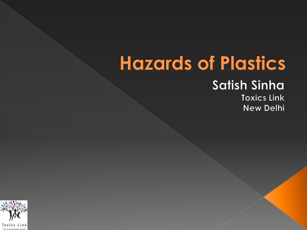# **Hazards of Plastics**

#### **Satish Sinha**

**Toxics Link New Delhi** 

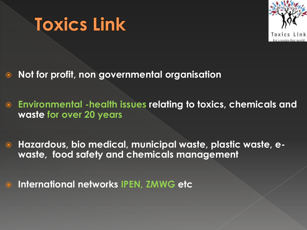



- **Not for profit, non governmental organisation**
- **Environmental -health issues relating to toxics, chemicals and waste for over 20 years**
- **Hazardous, bio medical, municipal waste, plastic waste, ewaste, food safety and chemicals management**
- **International networks IPEN, ZMWG etc**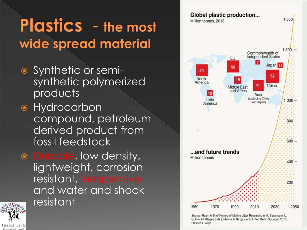#### **Plastics** - the most wide spread material

- Synthetic or semisynthetic polymerized products
- **•** Hydrocarbon compound, petroleum derived product from fossil feedstock
- o Durable, low density, lightweight, corrosion resistant, inexpensive and water and shock resistant



Toxics Link



Source: Ryan, A Brief History of Marine Litter Research, in M. Bergmann, L. Gutow, M. Klages (Eds.), Marine Anthropogenic Litter, Berlin Springer, 2015; **Plastics Europe**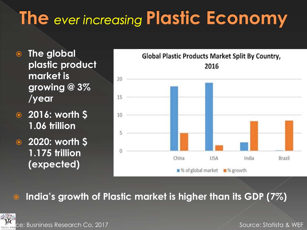# The ever increasing Plastic Economy

- **The global plastic product market is growing @ 3% /year**
- **2016: worth \$ 1.06 trillion**
- **2020: worth \$ 1.175 trillion (expected)**



#### **India's growth of Plastic market is higher than its GDP (7%)**

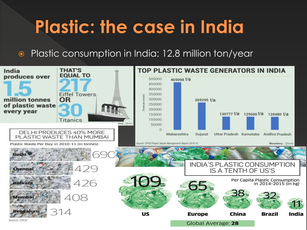## **Plastic: the case in India**

#### ● Plastic consumption in India: 12.8 million ton/year

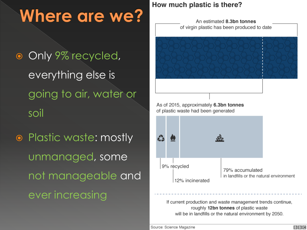### **Where are we?**

- **Only 9% recycled,** everything else is going to air, water or soil
- Plastic waste: mostly unmanaged, some not manageable and ever increasing

#### How much plastic is there?

An estimated 8.3bn tonnes of virgin plastic has been produced to date





If current production and waste management trends continue, roughly 12bn tonnes of plastic waste will be in landfills or the natural environment by 2050.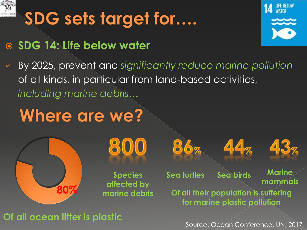

# SDG sets target for....

#### **SDG 14: Life below water**



 By 2025, prevent and *significantly reduce marine pollution* of all kinds, in particular from land-based activities, *including marine debris…*

#### **Where are we?**





**Species affected by** 

**Sea turtles Sea birds Marine** 

86%





**mammals**

**marine debris Of all their population is suffering for marine plastic pollution**

**Of all ocean litter is plastic**

Source: Ocean Conference, UN, 2017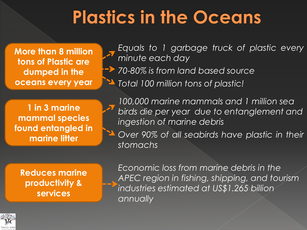### **Plastics in the Oceans**

**More than 8 million tons of Plastic are dumped in the oceans every year**

*Equals to 1 garbage truck of plastic every minute each day 70-80% is from land based source Total 100 million tons of plastic!*

**1 in 3 marine mammal species found entangled in marine litter**

*100,000 marine mammals and 1 million sea birds die per year due to entanglement and ingestion of marine debris Over 90% of all seabirds have plastic in their stomachs*

**Reduces marine productivity & services**

*Economic loss from marine debris in the APEC region in fishing, shipping, and tourism industries estimated at US\$1.265 billion annually*

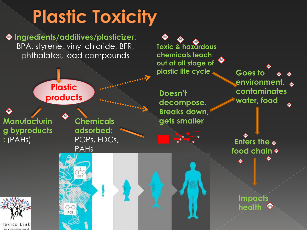# **Plastic Toxicity**

**Ingredients/additives/plasticizer**: BPA, styrene, vinyl chloride, BFR, phthalates, lead compounds



for a toxics-free voor-

**Toxic & hazardous chemicals leach out at all stage of plastic life cycle Goes to** 

**Doesn't decompose. Breaks down, gets smaller**

> …. ….  $\mathbb{R}^2$

**environment, contaminates water, food**

**Enters the food chain**

> **Impacts health**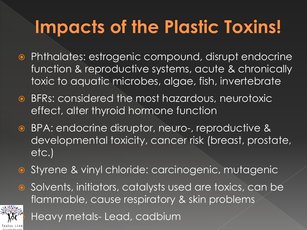# **Impacts of the Plastic Toxins!**

- Phthalates: estrogenic compound, disrupt endocrine function & reproductive systems, acute & chronically toxic to aquatic microbes, algae, fish, invertebrate
- BFRs: considered the most hazardous, neurotoxic effect, alter thyroid hormone function
- BPA: endocrine disruptor, neuro-, reproductive & developmental toxicity, cancer risk (breast, prostate, etc.)
- Styrene & vinyl chloride: carcinogenic, mutagenic
- Solvents, initiators, catalysts used are toxics, can be flammable, cause respiratory & skin problems



Heavy metals- Lead, cadbium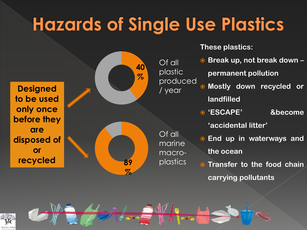# **Hazards of Single Use Plastics**

**Designed to be used only once before they are disposed of or** 



**These plastics :**

- **Break up, not break down – permanent pollution**
	- **Mostly down recycled or landfilled**
	- **'ESCAPE' &become**

**'accidental litter'**

- **End up in waterways and the ocean**
- **Transfer to the food chain carrying pollutants**



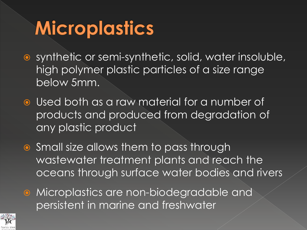# **Microplastics**

- synthetic or semi-synthetic, solid, water insoluble, high polymer plastic particles of a size range below 5mm.
- **Used both as a raw material for a number of** products and produced from degradation of any plastic product
- Small size allows them to pass through wastewater treatment plants and reach the oceans through surface water bodies and rivers
- **•** Microplastics are non-biodegradable and persistent in marine and freshwater

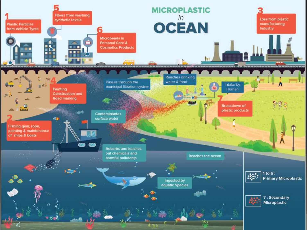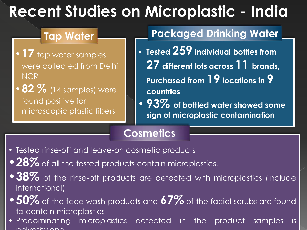#### **Recent Studies on Microplastic - India**

- **17** tap water samples were collected from Delhi NCR
- **82 %** (14 samples) were found positive for microscopic plastic fibers

#### **Tap Water Packaged Drinking Water**

- **Tested 259 individual bottles from 27 different lots across 11 brands, Purchased from 19 locations in 9 countries**
- **93% of bottled water showed some sign of microplastic contamination**

#### **Cosmetics**

- Tested rinse-off and leave-on cosmetic products
- 28% of all the tested products contain microplastics.
- 38% of the rinse-off products are detected with microplastics (include international)
- •**50%** of the face wash products and **67%** of the facial scrubs are found to contain microplastics
- Predominating microplastics detected in the product samples is polyethylene.